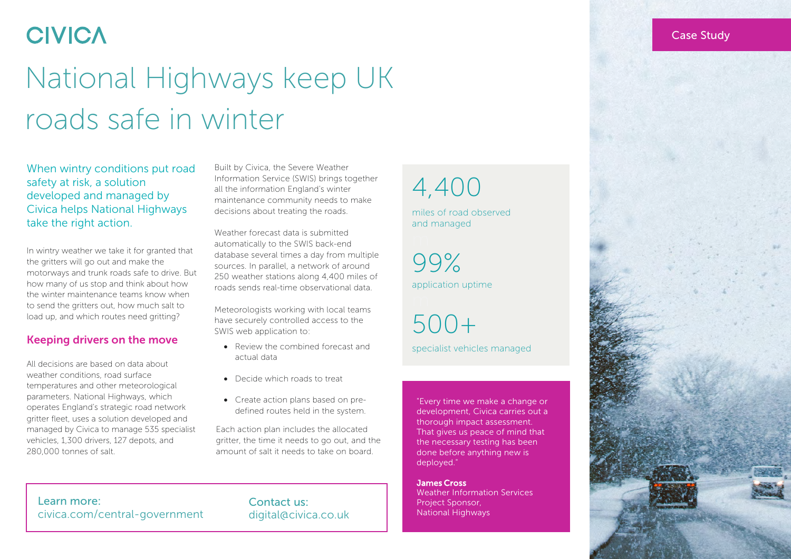## **CIVICA**

# National Highways keep UK roads safe in winter

When wintry conditions put road safety at risk, a solution developed and managed by Civica helps National Highways take the right action.

In wintry weather we take it for granted that the gritters will go out and make the motorways and trunk roads safe to drive. But how many of us stop and think about how the winter maintenance teams know when to send the gritters out, how much salt to load up, and which routes need gritting?

#### Keeping drivers on the move

All decisions are based on data about weather conditions, road surface temperatures and other meteorological parameters. National Highways, which operates England's strategic road network gritter fleet, uses a solution developed and managed by Civica to manage 535 specialist vehicles, 1,300 drivers, 127 depots, and 280,000 tonnes of salt.

Built by Civica, the Severe Weather Information Service (SWIS) brings together all the information England's winter maintenance community needs to make decisions about treating the roads.

Weather forecast data is submitted automatically to the SWIS back-end database several times a day from multiple sources. In parallel, a network of around 250 weather stations along 4,400 miles of roads sends real-time observational data.

Meteorologists working with local teams have securely controlled access to the SWIS web application to:

- Review the combined forecast and actual data
- Decide which roads to treat
- Create action plans based on predefined routes held in the system.

Each action plan includes the allocated gritter, the time it needs to go out, and the amount of salt it needs to take on board.

4,400

miles of road observed and managed

99% application uptime

500+ specialist vehicles managed

"Every time we make a change or development, Civica carries out a thorough impact assessment. That gives us peace of mind that the necessary testing has been done before anything new is deployed."

James Cross Weather Information Services Project Sponsor, National Highways



Learn more: [civica.com/central-government](http://www.civica.com/saffron)

#### Contact us: [digital@civica.co.uk](mailto:saffron%40civica.co.uk?subject=)